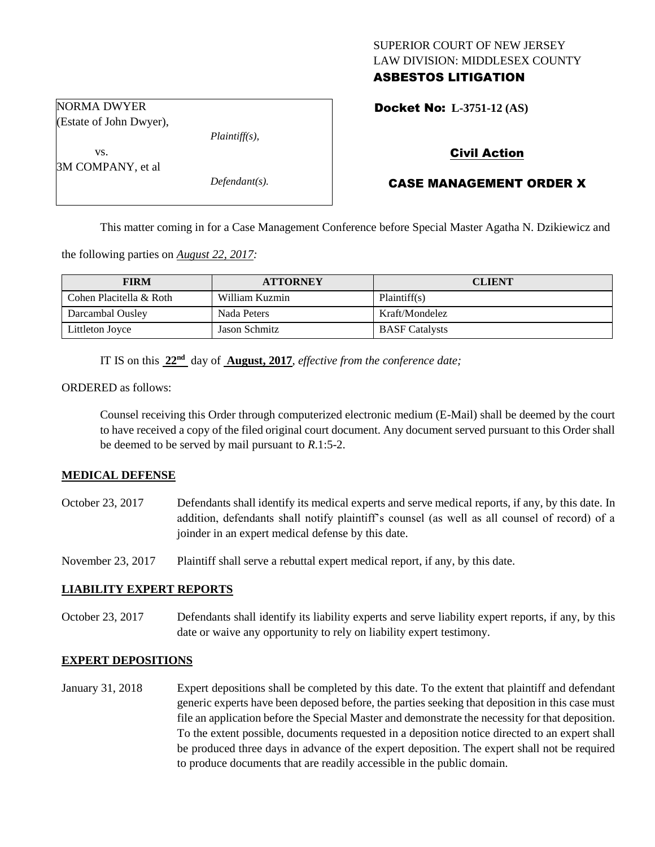## SUPERIOR COURT OF NEW JERSEY LAW DIVISION: MIDDLESEX COUNTY ASBESTOS LITIGATION

Docket No: **L-3751-12 (AS)** 

Civil Action

## CASE MANAGEMENT ORDER X

This matter coming in for a Case Management Conference before Special Master Agatha N. Dzikiewicz and

the following parties on *August 22, 2017:*

| <b>FIRM</b>             | <b>ATTORNEY</b> | <b>CLIENT</b>         |
|-------------------------|-----------------|-----------------------|
| Cohen Placitella & Roth | William Kuzmin  | Plaintiff(s)          |
| Darcambal Ousley        | Nada Peters     | Kraft/Mondelez        |
| Littleton Joyce         | Jason Schmitz   | <b>BASF</b> Catalysts |

IT IS on this **22nd** day of **August, 2017**, *effective from the conference date;*

ORDERED as follows:

Counsel receiving this Order through computerized electronic medium (E-Mail) shall be deemed by the court to have received a copy of the filed original court document. Any document served pursuant to this Order shall be deemed to be served by mail pursuant to *R*.1:5-2.

#### **MEDICAL DEFENSE**

October 23, 2017 Defendants shall identify its medical experts and serve medical reports, if any, by this date. In addition, defendants shall notify plaintiff's counsel (as well as all counsel of record) of a joinder in an expert medical defense by this date.

November 23, 2017 Plaintiff shall serve a rebuttal expert medical report, if any, by this date.

## **LIABILITY EXPERT REPORTS**

October 23, 2017 Defendants shall identify its liability experts and serve liability expert reports, if any, by this date or waive any opportunity to rely on liability expert testimony.

#### **EXPERT DEPOSITIONS**

January 31, 2018 Expert depositions shall be completed by this date. To the extent that plaintiff and defendant generic experts have been deposed before, the parties seeking that deposition in this case must file an application before the Special Master and demonstrate the necessity for that deposition. To the extent possible, documents requested in a deposition notice directed to an expert shall be produced three days in advance of the expert deposition. The expert shall not be required to produce documents that are readily accessible in the public domain.

NORMA DWYER (Estate of John Dwyer),

*Plaintiff(s),*

3M COMPANY, et al

vs.

*Defendant(s).*